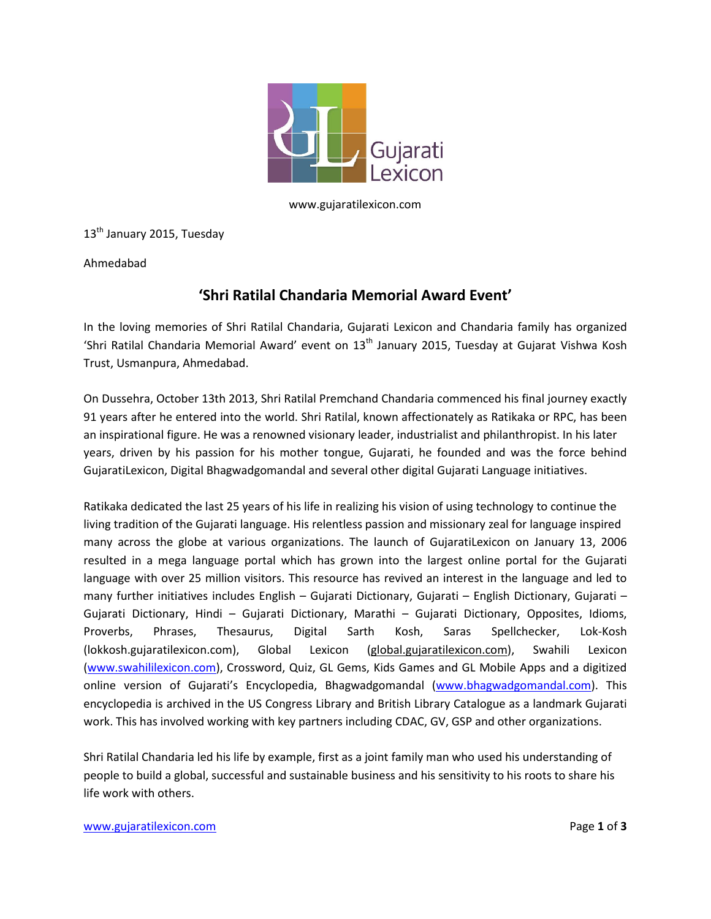

www.gujaratilexicon.com

13<sup>th</sup> January 2015, Tuesday

Ahmedabad

# **'Shri Ratilal Chandaria Memorial Award Event'**

In the loving memories of Shri Ratilal Chandaria, Gujarati Lexicon and Chandaria family has organized 'Shri Ratilal Chandaria Memorial Award' event on 13<sup>th</sup> January 2015, Tuesday at Gujarat Vishwa Kosh Trust, Usmanpura, Ahmedabad.

On Dussehra, October 13th 2013, Shri Ratilal Premchand Chandaria commenced his final journey exactly 91 years after he entered into the world. Shri Ratilal, known affectionately as Ratikaka or RPC, has been an inspirational figure. He was a renowned visionary leader, industrialist and philanthropist. In his later years, driven by his passion for his mother tongue, Gujarati, he founded and was the force behind GujaratiLexicon, Digital Bhagwadgomandal and several other digital Gujarati Language initiatives.

Ratikaka dedicated the last 25 years of his life in realizing his vision of using technology to continue the living tradition of the Gujarati language. His relentless passion and missionary zeal for language inspired many across the globe at various organizations. The launch of GujaratiLexicon on January 13, 2006 resulted in a mega language portal which has grown into the largest online portal for the Gujarati language with over 25 million visitors. This resource has revived an interest in the language and led to many further initiatives includes English – Gujarati Dictionary, Gujarati – English Dictionary, Gujarati – Gujarati Dictionary, Hindi – Gujarati Dictionary, Marathi – Gujarati Dictionary, Opposites, Idioms, Proverbs, Phrases, Thesaurus, Digital Sarth Kosh, Saras Spellchecker, Lok-Kosh (lokkosh.gujaratilexicon.com), Global Lexicon (global.gujaratilexicon.com), Swahili Lexicon [\(www.swahililexicon.com\)](http://www.swahililexicon.com/), Crossword, Quiz, GL Gems, Kids Games and GL Mobile Apps and a digitized online version of Gujarati's Encyclopedia, Bhagwadgomandal [\(www.bhagwadgomandal.com](http://www.bhagwadgomandal.com/)). This encyclopedia is archived in the US Congress Library and British Library Catalogue as a landmark Gujarati work. This has involved working with key partners including CDAC, GV, GSP and other organizations.

Shri Ratilal Chandaria led his life by example, first as a joint family man who used his understanding of people to build a global, successful and sustainable business and his sensitivity to his roots to share his life work with others.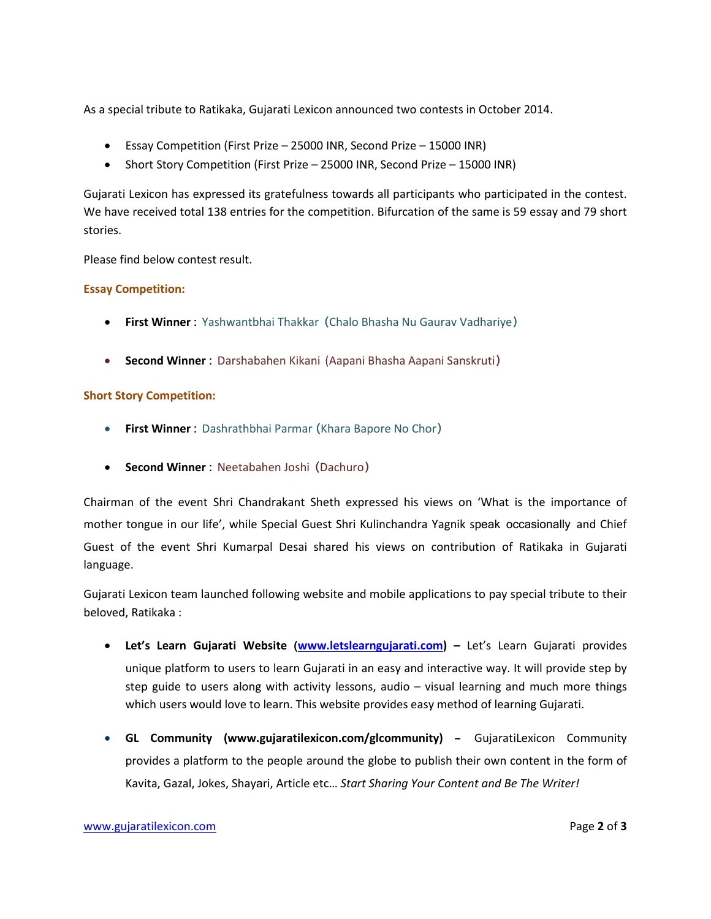As a special tribute to Ratikaka, Gujarati Lexicon announced two contests in October 2014.

- Essay Competition (First Prize 25000 INR, Second Prize 15000 INR)
- Short Story Competition (First Prize 25000 INR, Second Prize 15000 INR)

Gujarati Lexicon has expressed its gratefulness towards all participants who participated in the contest. We have received total 138 entries for the competition. Bifurcation of the same is 59 essay and 79 short stories.

Please find below contest result.

#### **Essay Competition:**

- **First Winner :** Yashwantbhai Thakkar (Chalo Bhasha Nu Gaurav Vadhariye)
- **Second Winner :** Darshabahen Kikani (Aapani Bhasha Aapani Sanskruti)

#### **Short Story Competition:**

- **First Winner :** Dashrathbhai Parmar (Khara Bapore No Chor)
- **Second Winner :** Neetabahen Joshi (Dachuro)

Chairman of the event Shri Chandrakant Sheth expressed his views on 'What is the importance of mother tongue in our life', while Special Guest Shri Kulinchandra Yagnik speak occasionally and Chief Guest of the event Shri Kumarpal Desai shared his views on contribution of Ratikaka in Gujarati language.

Gujarati Lexicon team launched following website and mobile applications to pay special tribute to their beloved, Ratikaka :

- **Let's Learn Gujarati Website ([www.letslearngujarati.com\)](http://www.letslearngujarati.com/) –** Let's Learn Gujarati provides unique platform to users to learn Gujarati in an easy and interactive way. It will provide step by step guide to users along with activity lessons, audio – visual learning and much more things which users would love to learn. This website provides easy method of learning Gujarati.
- **GL Community (www.gujaratilexicon.com/glcommunity) –** GujaratiLexicon Community provides a platform to the people around the globe to publish their own content in the form of Kavita, Gazal, Jokes, Shayari, Article etc… *Start Sharing Your Content and Be The Writer!*